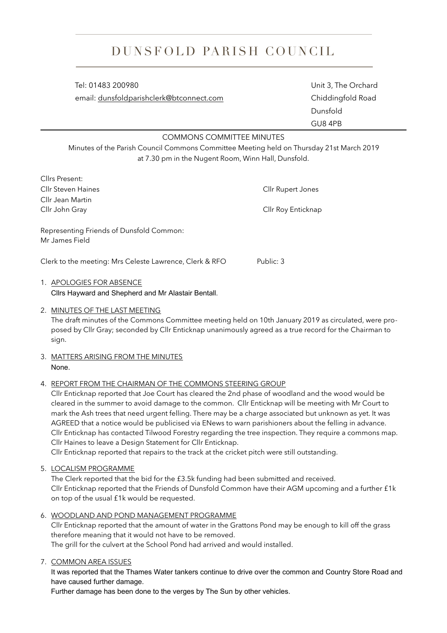# DUNSFOLD PARISH COUNCIL

 Tel: 01483 200980 Unit 3, The Orchard email: [dunsfoldparishclerk@btconnect.com](mailto:dunsfoldparishclerk@btconnect.com) Chiddingfold Road

 Dunsfold GU8 4PB

### COMMONS COMMITTEE MINUTES

Minutes of the Parish Council Commons Committee Meeting held on Thursday 21st March 2019 at 7.30 pm in the Nugent Room, Winn Hall, Dunsfold.

| Cllrs Present:                                             |                    |
|------------------------------------------------------------|--------------------|
| Cllr Steven Haines                                         | Cllr Rupert Jones  |
| Cllr Jean Martin                                           |                    |
| Cllr John Gray                                             | Cllr Roy Enticknap |
| Representing Friends of Dunsfold Common:<br>Mr James Field |                    |
| Clerk to the meeting: Mrs Celeste Lawrence, Clerk & RFO    | Public: 3          |
|                                                            |                    |

## 1. APOLOGIES FOR ABSENCE

Cllrs Hayward and Shepherd and Mr Alastair Bentall.

### 2. MINUTES OF THE LAST MEETING

The draft minutes of the Commons Committee meeting held on 10th January 2019 as circulated, were proposed by Cllr Gray; seconded by Cllr Enticknap unanimously agreed as a true record for the Chairman to sign.

#### 3. MATTERS ARISING FROM THE MINUTES None.

#### 4. REPORT FROM THE CHAIRMAN OF THE COMMONS STEERING GROUP

Cllr Enticknap reported that Joe Court has cleared the 2nd phase of woodland and the wood would be cleared in the summer to avoid damage to the common. Cllr Enticknap will be meeting with Mr Court to mark the Ash trees that need urgent felling. There may be a charge associated but unknown as yet. It was AGREED that a notice would be publicised via ENews to warn parishioners about the felling in advance. Cllr Enticknap has contacted Tilwood Forestry regarding the tree inspection. They require a commons map. Cllr Haines to leave a Design Statement for Cllr Enticknap.

Cllr Enticknap reported that repairs to the track at the cricket pitch were still outstanding.

5. LOCALISM PROGRAMME

The Clerk reported that the bid for the £3.5k funding had been submitted and received. Cllr Enticknap reported that the Friends of Dunsfold Common have their AGM upcoming and a further £1k on top of the usual £1k would be requested.

6. WOODLAND AND POND MANAGEMENT PROGRAMME

Cllr Enticknap reported that the amount of water in the Grattons Pond may be enough to kill off the grass therefore meaning that it would not have to be removed.

The grill for the culvert at the School Pond had arrived and would installed.

7. COMMON AREA ISSUES

It was reported that the Thames Water tankers continue to drive over the common and Country Store Road and have caused further damage.

Further damage has been done to the verges by The Sun by other vehicles.